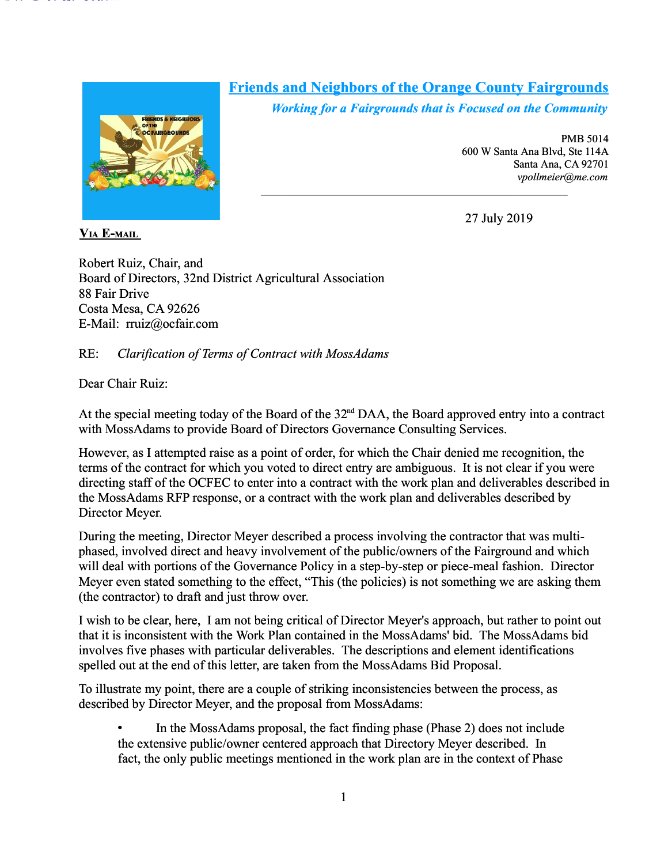

# **Friends and Neighbors of the Orange County Fairgrounds**

 $\mathcal{L}_\text{max}$ 

*Working for a Fairgrounds that is Focused on the Community*

PMB 5014 600 W Santa Ana Blvd, Ste 114A Santa Ana, CA 92701 *vpollmeier@me.com*

27 July 2019

 **VIA E-MAIL**

Robert Ruiz, Chair, and Board of Directors, 32nd District Agricultural Association 88 Fair Drive Costa Mesa, CA 92626 E-Mail: rruiz@ocfair.com

# RE: *Clarification of Terms of Contract with MossAdams*

Dear Chair Ruiz:

At the special meeting today of the Board of the 32<sup>nd</sup> DAA, the Board approved entry into a contract with MossAdams to provide Board of Directors Governance Consulting Services.

However, as I attempted raise as a point of order, for which the Chair denied me recognition, the terms of the contract for which you voted to direct entry are ambiguous. It is not clear if you were directing staff of the OCFEC to enter into a contract with the work plan and deliverables described in the MossAdams RFP response, or a contract with the work plan and deliverables described by Director Meyer.

During the meeting, Director Meyer described a process involving the contractor that was multiphased, involved direct and heavy involvement of the public/owners of the Fairground and which will deal with portions of the Governance Policy in a step-by-step or piece-meal fashion. Director Meyer even stated something to the effect, "This (the policies) is not something we are asking them (the contractor) to draft and just throw over.

I wish to be clear, here, I am not being critical of Director Meyer's approach, but rather to point out that it is inconsistent with the Work Plan contained in the MossAdams' bid. The MossAdams bid involves five phases with particular deliverables. The descriptions and element identifications spelled out at the end of this letter, are taken from the MossAdams Bid Proposal.

To illustrate my point, there are a couple of striking inconsistencies between the process, as described by Director Meyer, and the proposal from MossAdams:

• In the MossAdams proposal, the fact finding phase (Phase 2) does not include the extensive public/owner centered approach that Directory Meyer described. In fact, the only public meetings mentioned in the work plan are in the context of Phase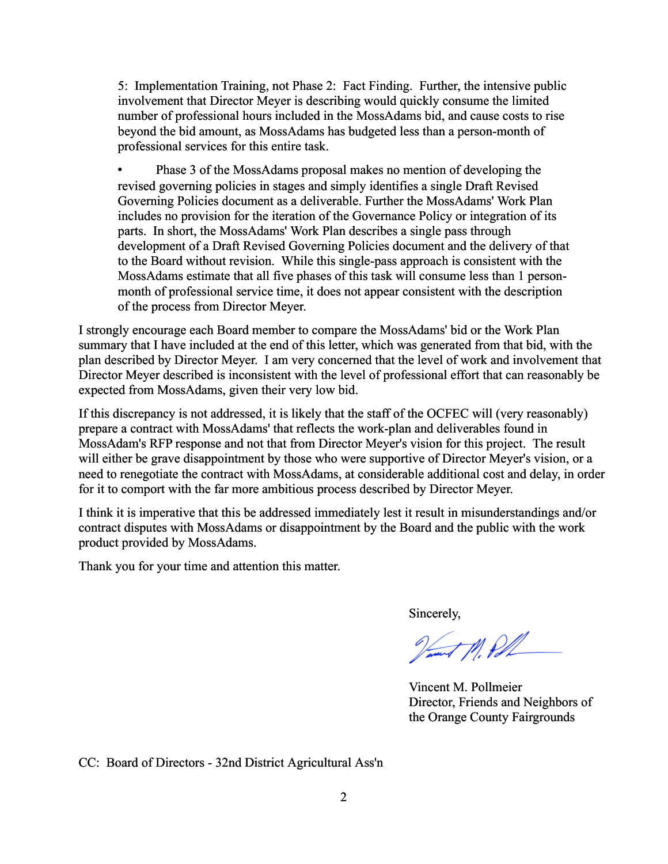5: Implementation Training, not Phase 2: Fact Finding. Further, the intensive public involvement that Director Meyer is describing would quickly consume the limited number of professional hours included in the MossAdams bid, and cause costs to rise beyond the bid amount, as MossAdams has budgeted less than a person-month of professional services for this entire task.

• Phase 3 of the MossAdams proposal makes no mention of developing the revised governing policies in stages and simply identifies a single Draft Revised Governing Policies document as a deliverable. Further the MossAdams' Work Plan includes no provision for the iteration of the Governance Policy or integration of its parts. In short, the MossAdams' Work Plan describes a single pass through development of a Draft Revised Governing Policies document and the delivery of that to the Board without revision. While this single-pass approach is consistent with the MossAdams estimate that all five phases of this task will consume less than 1 personmonth of professional service time, it does not appear consistent with the description of the process from Director Meyer.

I strongly encourage each Board member to compare the MossAdams' bid or the Work Plan summary that I have included at the end of this letter, which was generated from that bid, with the plan described by Director Meyer. I am very concerned that the level of work and involvement that Director Meyer described is inconsistent with the level of professional effort that can reasonably be expected from MossAdams, given their very low bid.

If this discrepancy is not addressed, it is likely that the staff of the OCFEC will (very reasonably) prepare a contract with MossAdams' that reflects the work-plan and deliverables found in MossAdam's RFP response and not that from Director Meyer's vision for this project. The result will either be grave disappointment by those who were supportive of Director Meyer's vision, or a need to renegotiate the contract with MossAdams, at considerable additional cost and delay, in order for it to comport with the far more ambitious process described by Director Meyer.

I think it is imperative that this be addressed immediately lest it result in misunderstandings and/or contract disputes with MossAdams or disappointment by the Board and the public with the work product provided by MossAdams.

Thank you for your time and attention this matter.

Sincerely,

Vant M. Pol

Vincent M. Pollmeier Director, Friends and Neighbors of the Orange County Fairgrounds

CC: Board of Directors - 32nd District Agricultural Ass'n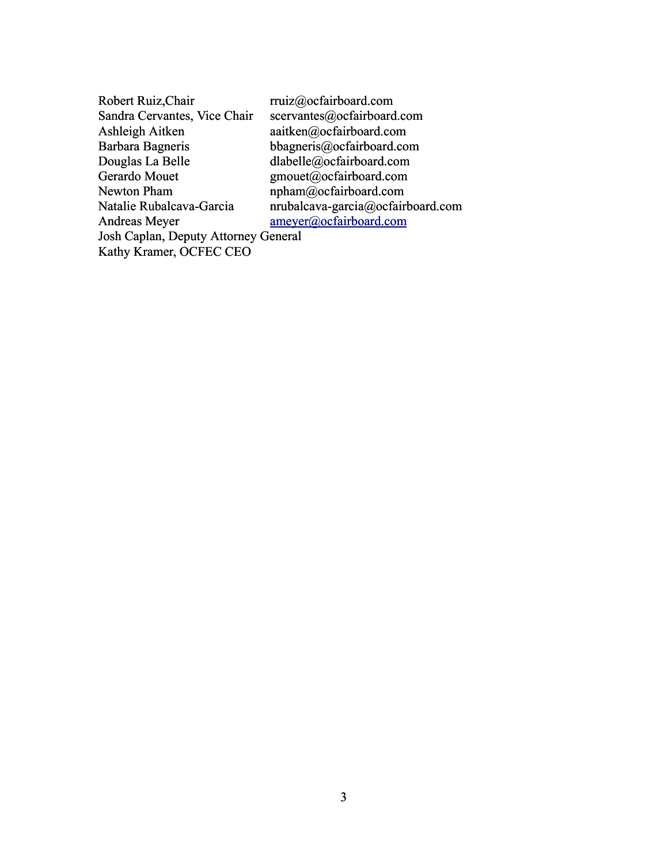| Robert Ruiz, Chair                          | rruiz@ocfairboard.com             |
|---------------------------------------------|-----------------------------------|
| Sandra Cervantes, Vice Chair                | scervantes@ocfairboard.com        |
| Ashleigh Aitken                             | aaitken@ocfairboard.com           |
| Barbara Bagneris                            | bbagneris@ocfairboard.com         |
| Douglas La Belle                            | dlabelle@ocfairboard.com          |
| Gerardo Mouet                               | gmouet@ocfairboard.com            |
| Newton Pham                                 | npham@ocfairboard.com             |
| Natalie Rubalcava-Garcia                    | nrubalcava-garcia@ocfairboard.com |
| Andreas Meyer                               | ameyer@ocfairboard.com            |
| <b>Josh Caplan, Deputy Attorney General</b> |                                   |
| Kathy Kramer, OCFEC CEO                     |                                   |
|                                             |                                   |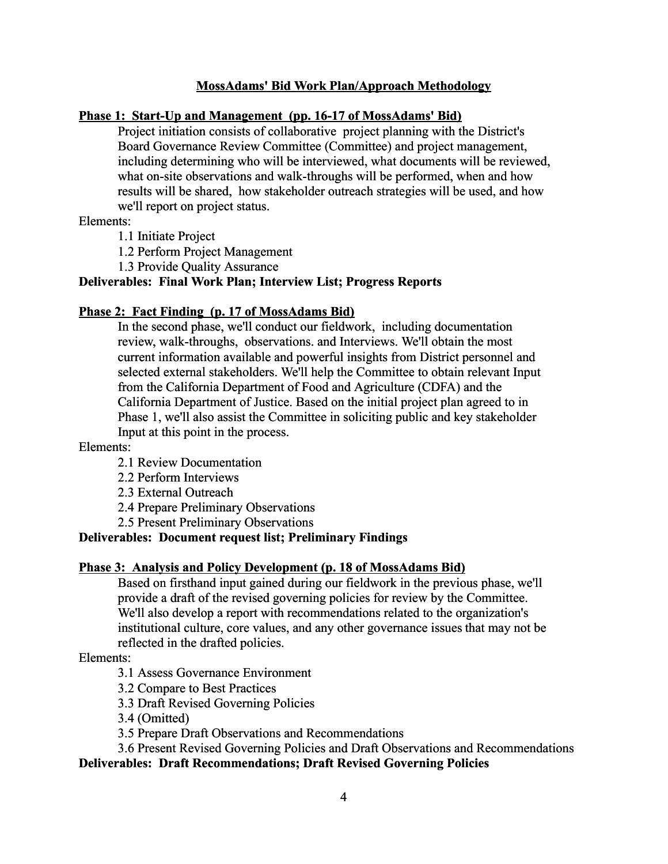### **MossAdams' Bid Work Plan/Approach Methodology**

### **Phase 1: Start-Up and Management (pp. 16-17 of MossAdams' Bid)**

Project initiation consists of collaborative project planning with the District's Board Governance Review Committee (Committee) and project management, including determining who will be interviewed, what documents will be reviewed, what on-site observations and walk-throughs will be performed, when and how results will be shared, how stakeholder outreach strategies will be used, and how we'll report on project status.

Elements:

1.1 Initiate Project

1.2 Perform Project Management

1.3 Provide Quality Assurance

### **Deliverables: Final Work Plan; Interview List; Progress Reports**

#### **Phase 2: Fact Finding (p. 17 of MossAdams Bid)**

In the second phase, we'll conduct our fieldwork, including documentation review, walk-throughs, observations. and Interviews. We'll obtain the most current information available and powerful insights from District personnel and selected external stakeholders. We'll help the Committee to obtain relevant Input from the California Department of Food and Agriculture (CDFA) and the California Department of Justice. Based on the initial project plan agreed to in Phase 1, we'll also assist the Committee in soliciting public and key stakeholder Input at this point in the process.

#### Elements:

2.1 Review Documentation

- 2.2 Perform Interviews
- 2.3 External Outreach
- 2.4 Prepare Preliminary Observations
- 2.5 Present Preliminary Observations

### **Deliverables: Document request list; Preliminary Findings**

#### **Phase 3: Analysis and Policy Development (p. 18 of MossAdams Bid)**

Based on firsthand input gained during our fieldwork in the previous phase, we'll provide a draft of the revised governing policies for review by the Committee. We'll also develop a report with recommendations related to the organization's institutional culture, core values, and any other governance issues that may not be reflected in the drafted policies.

#### Elements:

3.1 Assess Governance Environment

3.2 Compare to Best Practices

3.3 Draft Revised Governing Policies

3.4 (Omitted)

3.5 Prepare Draft Observations and Recommendations

3.6 Present Revised Governing Policies and Draft Observations and Recommendations

# **Deliverables: Draft Recommendations; Draft Revised Governing Policies**